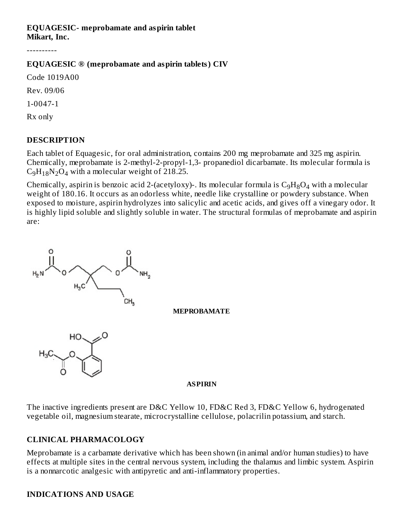#### **EQUAGESIC- meprobamate and aspirin tablet Mikart, Inc.**

----------

#### **EQUAGESIC ® (meprobamate and aspirin tablets) CIV**

Code 1019A00

Rev. 09/06

1-0047-1

Rx only

#### **DESCRIPTION**

Each tablet of Equagesic, for oral administration, contains 200 mg meprobamate and 325 mg aspirin. Chemically, meprobamate is 2-methyl-2-propyl-1,3- propanediol dicarbamate. Its molecular formula is  $C_9H_{18}N_2O_4$  with a molecular weight of 218.25.

Chemically, aspirin is benzoic acid 2-(acetyloxy)-. Its molecular formula is  $\rm{C_9H_8O_4}$  with a molecular weight of 180.16. It occurs as an odorless white, needle like crystalline or powdery substance. When exposed to moisture, aspirin hydrolyzes into salicylic and acetic acids, and gives off a vinegary odor. It is highly lipid soluble and slightly soluble in water. The structural formulas of meprobamate and aspirin are:



The inactive ingredients present are D&C Yellow 10, FD&C Red 3, FD&C Yellow 6, hydrogenated vegetable oil, magnesium stearate, microcrystalline cellulose, polacrilin potassium, and starch.

#### **CLINICAL PHARMACOLOGY**

Meprobamate is a carbamate derivative which has been shown (in animal and/or human studies) to have effects at multiple sites in the central nervous system, including the thalamus and limbic system. Aspirin is a nonnarcotic analgesic with antipyretic and anti-inflammatory properties.

#### **INDICATIONS AND USAGE**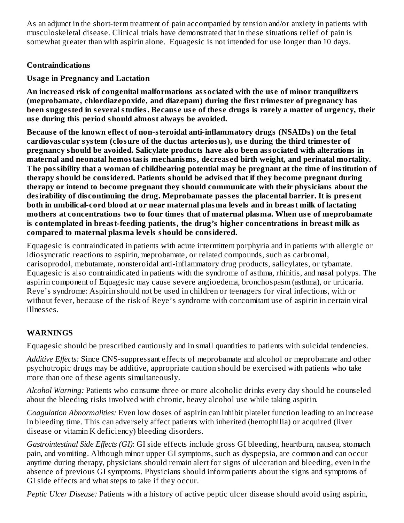As an adjunct in the short-term treatment of pain accompanied by tension and/or anxiety in patients with musculoskeletal disease. Clinical trials have demonstrated that in these situations relief of pain is somewhat greater than with aspirin alone. Equagesic is not intended for use longer than 10 days.

### **Contraindications**

# **Usage in Pregnancy and Lactation**

**An increas ed risk of congenital malformations associated with the us e of minor tranquilizers (meprobamate, chlordiazepoxide, and diazepam) during the first trimester of pregnancy has** been suggested in several studies. Because use of these drugs is rarely a matter of urgency, their **us e during this period should almost always be avoided.**

**Becaus e of the known effect of non-steroidal anti-inflammatory drugs (NSAIDs) on the fetal cardiovas cular system (closure of the ductus arteriosus), us e during the third trimester of pregnancy should be avoided. Salicylate products have also been associated with alterations in maternal and neonatal hemostasis mechanisms, decreas ed birth weight, and perinatal mortality. The possibility that a woman of childbearing potential may be pregnant at the time of institution of therapy should be considered. Patients should be advis ed that if they become pregnant during therapy or intend to become pregnant they should communicate with their physicians about the desirability of dis continuing the drug. Meprobamate pass es the placental barrier. It is pres ent both in umbilical-cord blood at or near maternal plasma levels and in breast milk of lactating mothers at concentrations two to four times that of maternal plasma. When us e of meprobamate is contemplated in breast-feeding patients, the drug's higher concentrations in breast milk as compared to maternal plasma levels should be considered.**

Equagesic is contraindicated in patients with acute intermittent porphyria and in patients with allergic or idiosyncratic reactions to aspirin, meprobamate, or related compounds, such as carbromal, carisoprodol, mebutamate, nonsteroidal anti-inflammatory drug products, salicylates, or tybamate. Equagesic is also contraindicated in patients with the syndrome of asthma, rhinitis, and nasal polyps. The aspirin component of Equagesic may cause severe angioedema, bronchospasm (asthma), or urticaria. Reye's syndrome: Aspirin should not be used in children or teenagers for viral infections, with or without fever, because of the risk of Reye's syndrome with concomitant use of aspirin in certain viral illnesses.

# **WARNINGS**

Equagesic should be prescribed cautiously and in small quantities to patients with suicidal tendencies.

*Additive Effects:* Since CNS-suppressant effects of meprobamate and alcohol or meprobamate and other psychotropic drugs may be additive, appropriate caution should be exercised with patients who take more than one of these agents simultaneously.

*Alcohol Warning:* Patients who consume three or more alcoholic drinks every day should be counseled about the bleeding risks involved with chronic, heavy alcohol use while taking aspirin.

*Coagulation Abnormalities:* Even low doses of aspirin can inhibit platelet function leading to an increase in bleeding time. This can adversely affect patients with inherited (hemophilia) or acquired (liver disease or vitamin K deficiency) bleeding disorders.

*Gastrointestinal Side Effects (GI)*: GI side effects include gross GI bleeding, heartburn, nausea, stomach pain, and vomiting. Although minor upper GI symptoms, such as dyspepsia, are common and can occur anytime during therapy, physicians should remain alert for signs of ulceration and bleeding, even in the absence of previous GI symptoms. Physicians should inform patients about the signs and symptoms of GI side effects and what steps to take if they occur.

*Peptic Ulcer Disease:* Patients with a history of active peptic ulcer disease should avoid using aspirin,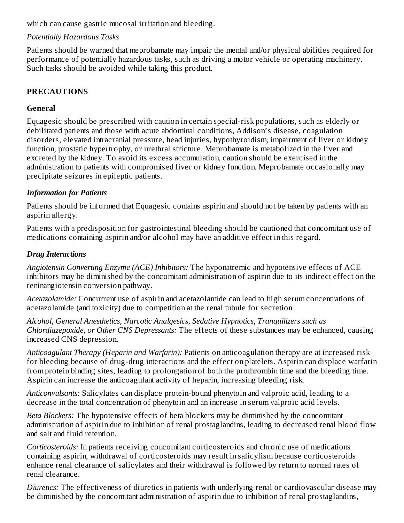which can cause gastric mucosal irritation and bleeding.

### *Potentially Hazardous Tasks*

Patients should be warned that meprobamate may impair the mental and/or physical abilities required for performance of potentially hazardous tasks, such as driving a motor vehicle or operating machinery. Such tasks should be avoided while taking this product.

# **PRECAUTIONS**

# **General**

Equagesic should be prescribed with caution in certain special-risk populations, such as elderly or debilitated patients and those with acute abdominal conditions, Addison's disease, coagulation disorders, elevated intracranial pressure, head injuries, hypothyroidism, impairment of liver or kidney function, prostatic hypertrophy, or urethral stricture. Meprobamate is metabolized in the liver and excreted by the kidney. To avoid its excess accumulation, caution should be exercised in the administration to patients with compromised liver or kidney function. Meprobamate occasionally may precipitate seizures in epileptic patients.

### *Information for Patients*

Patients should be informed that Equagesic contains aspirin and should not be taken by patients with an aspirin allergy.

Patients with a predisposition for gastrointestinal bleeding should be cautioned that concomitant use of medications containing aspirin and/or alcohol may have an additive effect in this regard.

### *Drug Interactions*

*Angiotensin Converting Enzyme (ACE) Inhibitors:* The hyponatremic and hypotensive effects of ACE inhibitors may be diminished by the concomitant administration of aspirin due to its indirect effect on the reninangiotensin conversion pathway.

*Acetazolamide:* Concurrent use of aspirin and acetazolamide can lead to high serum concentrations of acetazolamide (and toxicity) due to competition at the renal tubule for secretion.

*Alcohol, General Anesthetics, Narcotic Analgesics, Sedative Hypnotics, Tranquilizers such as Chlordiazepoxide, or Other CNS Depressants:* The effects of these substances may be enhanced, causing increased CNS depression.

*Anticoagulant Therapy (Heparin and Warfarin):* Patients on anticoagulation therapy are at increased risk for bleeding because of drug-drug interactions and the effect on platelets. Aspirin can displace warfarin from protein binding sites, leading to prolongation of both the prothrombin time and the bleeding time. Aspirin can increase the anticoagulant activity of heparin, increasing bleeding risk.

*Anticonvulsants:* Salicylates can displace protein-bound phenytoin and valproic acid, leading to a decrease in the total concentration of phenytoin and an increase in serum valproic acid levels.

*Beta Blockers:* The hypotensive effects of beta blockers may be diminished by the concomitant administration of aspirin due to inhibition of renal prostaglandins, leading to decreased renal blood flow and salt and fluid retention.

*Corticosteroids:* In patients receiving concomitant corticosteroids and chronic use of medications containing aspirin, withdrawal of corticosteroids may result in salicylism because corticosteroids enhance renal clearance of salicylates and their withdrawal is followed by return to normal rates of renal clearance.

*Diuretics:* The effectiveness of diuretics in patients with underlying renal or cardiovascular disease may be diminished by the concomitant administration of aspirin due to inhibition of renal prostaglandins,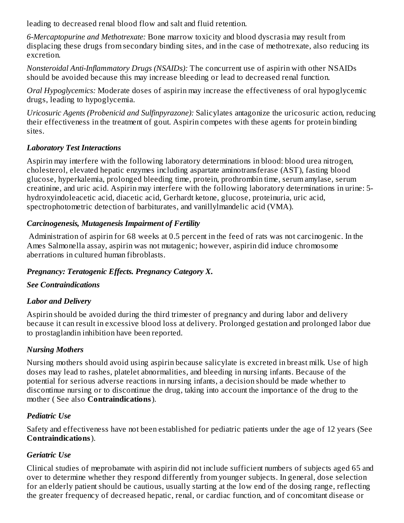leading to decreased renal blood flow and salt and fluid retention.

*6-Mercaptopurine and Methotrexate:* Bone marrow toxicity and blood dyscrasia may result from displacing these drugs from secondary binding sites, and in the case of methotrexate, also reducing its excretion.

*Nonsteroidal Anti-Inflammatory Drugs (NSAIDs):* The concurrent use of aspirin with other NSAIDs should be avoided because this may increase bleeding or lead to decreased renal function.

*Oral Hypoglycemics:* Moderate doses of aspirin may increase the effectiveness of oral hypoglycemic drugs, leading to hypoglycemia.

*Uricosuric Agents (Probenicid and Sulfinpyrazone):* Salicylates antagonize the uricosuric action, reducing their effectiveness in the treatment of gout. Aspirin competes with these agents for protein binding sites.

### *Laboratory Test Interactions*

Aspirin may interfere with the following laboratory determinations in blood: blood urea nitrogen, cholesterol, elevated hepatic enzymes including aspartate aminotransferase (AST), fasting blood glucose, hyperkalemia, prolonged bleeding time, protein, prothrombin time, serum amylase, serum creatinine, and uric acid. Aspirin may interfere with the following laboratory determinations in urine: 5 hydroxyindoleacetic acid, diacetic acid, Gerhardt ketone, glucose, proteinuria, uric acid, spectrophotometric detection of barbiturates, and vanillylmandelic acid (VMA).

# *Carcinogenesis, Mutagenesis Impairment of Fertility*

Administration of aspirin for 68 weeks at 0.5 percent in the feed of rats was not carcinogenic. In the Ames Salmonella assay, aspirin was not mutagenic; however, aspirin did induce chromosome aberrations in cultured human fibroblasts.

# *Pregnancy: Teratogenic Effects. Pregnancy Category X.*

# *See Contraindications*

# *Labor and Delivery*

Aspirin should be avoided during the third trimester of pregnancy and during labor and delivery because it can result in excessive blood loss at delivery. Prolonged gestation and prolonged labor due to prostaglandin inhibition have been reported.

# *Nursing Mothers*

Nursing mothers should avoid using aspirin because salicylate is excreted in breast milk. Use of high doses may lead to rashes, platelet abnormalities, and bleeding in nursing infants. Because of the potential for serious adverse reactions in nursing infants, a decision should be made whether to discontinue nursing or to discontinue the drug, taking into account the importance of the drug to the mother ( See also **Contraindications**).

# *Pediatric Use*

Safety and effectiveness have not been established for pediatric patients under the age of 12 years (See **Contraindications**).

# *Geriatric Use*

Clinical studies of meprobamate with aspirin did not include sufficient numbers of subjects aged 65 and over to determine whether they respond differently from younger subjects. In general, dose selection for an elderly patient should be cautious, usually starting at the low end of the dosing range, reflecting the greater frequency of decreased hepatic, renal, or cardiac function, and of concomitant disease or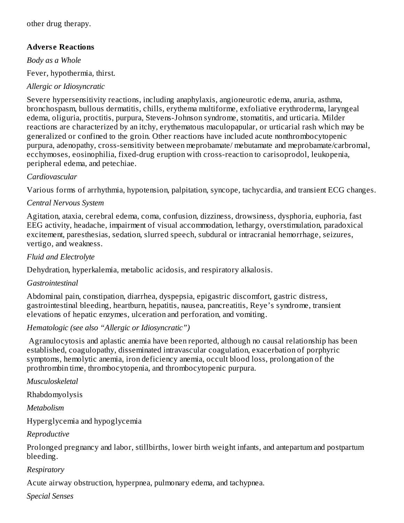other drug therapy.

### **Advers e Reactions**

*Body as a Whole*

Fever, hypothermia, thirst.

### *Allergic or Idiosyncratic*

Severe hypersensitivity reactions, including anaphylaxis, angioneurotic edema, anuria, asthma, bronchospasm, bullous dermatitis, chills, erythema multiforme, exfoliative erythroderma, laryngeal edema, oliguria, proctitis, purpura, Stevens-Johnson syndrome, stomatitis, and urticaria. Milder reactions are characterized by an itchy, erythematous maculopapular, or urticarial rash which may be generalized or confined to the groin. Other reactions have included acute nonthrombocytopenic purpura, adenopathy, cross-sensitivity between meprobamate/ mebutamate and meprobamate/carbromal, ecchymoses, eosinophilia, fixed-drug eruption with cross-reaction to carisoprodol, leukopenia, peripheral edema, and petechiae.

#### *Cardiovascular*

Various forms of arrhythmia, hypotension, palpitation, syncope, tachycardia, and transient ECG changes.

#### *Central Nervous System*

Agitation, ataxia, cerebral edema, coma, confusion, dizziness, drowsiness, dysphoria, euphoria, fast EEG activity, headache, impairment of visual accommodation, lethargy, overstimulation, paradoxical excitement, paresthesias, sedation, slurred speech, subdural or intracranial hemorrhage, seizures, vertigo, and weakness.

#### *Fluid and Electrolyte*

Dehydration, hyperkalemia, metabolic acidosis, and respiratory alkalosis.

#### *Gastrointestinal*

Abdominal pain, constipation, diarrhea, dyspepsia, epigastric discomfort, gastric distress, gastrointestinal bleeding, heartburn, hepatitis, nausea, pancreatitis, Reye's syndrome, transient elevations of hepatic enzymes, ulceration and perforation, and vomiting.

#### *Hematologic (see also "Allergic or Idiosyncratic")*

Agranulocytosis and aplastic anemia have been reported, although no causal relationship has been established, coagulopathy, disseminated intravascular coagulation, exacerbation of porphyric symptoms, hemolytic anemia, iron deficiency anemia, occult blood loss, prolongation of the prothrombin time, thrombocytopenia, and thrombocytopenic purpura.

*Musculoskeletal*

Rhabdomyolysis

*Metabolism*

Hyperglycemia and hypoglycemia

*Reproductive*

Prolonged pregnancy and labor, stillbirths, lower birth weight infants, and antepartum and postpartum bleeding.

#### *Respiratory*

Acute airway obstruction, hyperpnea, pulmonary edema, and tachypnea.

*Special Senses*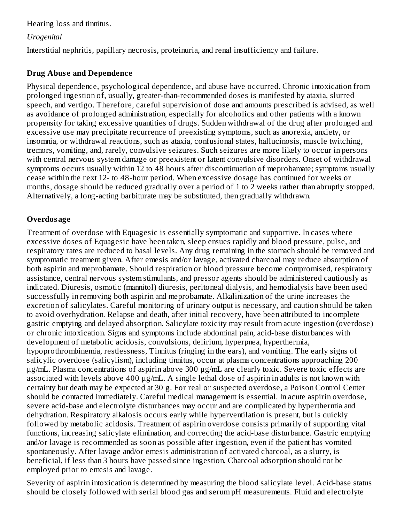Hearing loss and tinnitus.

### *Urogenital*

Interstitial nephritis, papillary necrosis, proteinuria, and renal insufficiency and failure.

### **Drug Abuse** and **Dependence**

Physical dependence, psychological dependence, and abuse have occurred. Chronic intoxication from prolonged ingestion of, usually, greater-than-recommended doses is manifested by ataxia, slurred speech, and vertigo. Therefore, careful supervision of dose and amounts prescribed is advised, as well as avoidance of prolonged administration, especially for alcoholics and other patients with a known propensity for taking excessive quantities of drugs. Sudden withdrawal of the drug after prolonged and excessive use may precipitate recurrence of preexisting symptoms, such as anorexia, anxiety, or insomnia, or withdrawal reactions, such as ataxia, confusional states, hallucinosis, muscle twitching, tremors, vomiting, and, rarely, convulsive seizures. Such seizures are more likely to occur in persons with central nervous system damage or preexistent or latent convulsive disorders. Onset of withdrawal symptoms occurs usually within 12 to 48 hours after discontinuation of meprobamate; symptoms usually cease within the next 12- to 48-hour period. When excessive dosage has continued for weeks or months, dosage should be reduced gradually over a period of 1 to 2 weeks rather than abruptly stopped. Alternatively, a long-acting barbiturate may be substituted, then gradually withdrawn.

# **Overdosage**

Treatment of overdose with Equagesic is essentially symptomatic and supportive. In cases where excessive doses of Equagesic have been taken, sleep ensues rapidly and blood pressure, pulse, and respiratory rates are reduced to basal levels. Any drug remaining in the stomach should be removed and symptomatic treatment given. After emesis and/or lavage, activated charcoal may reduce absorption of both aspirin and meprobamate. Should respiration or blood pressure become compromised, respiratory assistance, central nervous system stimulants, and pressor agents should be administered cautiously as indicated. Diuresis, osmotic (mannitol) diuresis, peritoneal dialysis, and hemodialysis have been used successfully in removing both aspirin and meprobamate. Alkalinization of the urine increases the excretion of salicylates. Careful monitoring of urinary output is necessary, and caution should be taken to avoid overhydration. Relapse and death, after initial recovery, have been attributed to incomplete gastric emptying and delayed absorption. Salicylate toxicity may result from acute ingestion (overdose) or chronic intoxication. Signs and symptoms include abdominal pain, acid-base disturbances with development of metabolic acidosis, convulsions, delirium, hyperpnea, hyperthermia, hypoprothrombinemia, restlessness, Tinnitus (ringing in the ears), and vomiting. The early signs of salicylic overdose (salicylism), including tinnitus, occur at plasma concentrations approaching 200 μg/mL. Plasma concentrations of aspirin above 300 μg/mL are clearly toxic. Severe toxic effects are associated with levels above 400 μg/mL. A single lethal dose of aspirin in adults is not known with certainty but death may be expected at 30 g. For real or suspected overdose, a Poison Control Center should be contacted immediately. Careful medical management is essential. In acute aspirin overdose, severe acid-base and electrolyte disturbances may occur and are complicated by hyperthermia and dehydration. Respiratory alkalosis occurs early while hyperventilation is present, but is quickly followed by metabolic acidosis. Treatment of aspirin overdose consists primarily of supporting vital functions, increasing salicylate elimination, and correcting the acid-base disturbance. Gastric emptying and/or lavage is recommended as soon as possible after ingestion, even if the patient has vomited spontaneously. After lavage and/or emesis administration of activated charcoal, as a slurry, is beneficial, if less than 3 hours have passed since ingestion. Charcoal adsorption should not be employed prior to emesis and lavage.

Severity of aspirin intoxication is determined by measuring the blood salicylate level. Acid-base status should be closely followed with serial blood gas and serum pH measurements. Fluid and electrolyte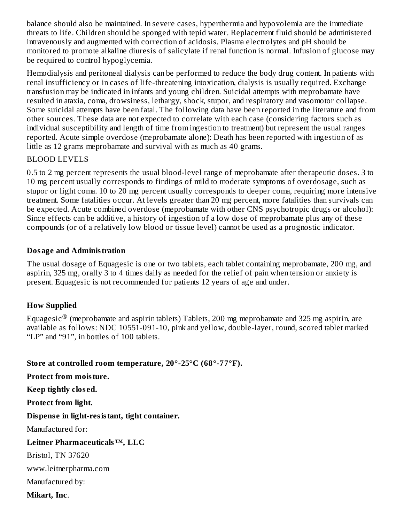balance should also be maintained. In severe cases, hyperthermia and hypovolemia are the immediate threats to life. Children should be sponged with tepid water. Replacement fluid should be administered intravenously and augmented with correction of acidosis. Plasma electrolytes and pH should be monitored to promote alkaline diuresis of salicylate if renal function is normal. Infusion of glucose may be required to control hypoglycemia.

Hemodialysis and peritoneal dialysis can be performed to reduce the body drug content. In patients with renal insufficiency or in cases of life-threatening intoxication, dialysis is usually required. Exchange transfusion may be indicated in infants and young children. Suicidal attempts with meprobamate have resulted in ataxia, coma, drowsiness, lethargy, shock, stupor, and respiratory and vasomotor collapse. Some suicidal attempts have been fatal. The following data have been reported in the literature and from other sources. These data are not expected to correlate with each case (considering factors such as individual susceptibility and length of time from ingestion to treatment) but represent the usual ranges reported. Acute simple overdose (meprobamate alone): Death has been reported with ingestion of as little as 12 grams meprobamate and survival with as much as 40 grams.

#### BLOOD LEVELS

0.5 to 2 mg percent represents the usual blood-level range of meprobamate after therapeutic doses. 3 to 10 mg percent usually corresponds to findings of mild to moderate symptoms of overdosage, such as stupor or light coma. 10 to 20 mg percent usually corresponds to deeper coma, requiring more intensive treatment. Some fatalities occur. At levels greater than 20 mg percent, more fatalities than survivals can be expected. Acute combined overdose (meprobamate with other CNS psychotropic drugs or alcohol): Since effects can be additive, a history of ingestion of a low dose of meprobamate plus any of these compounds (or of a relatively low blood or tissue level) cannot be used as a prognostic indicator.

#### **Dosage and Administration**

The usual dosage of Equagesic is one or two tablets, each tablet containing meprobamate, 200 mg, and aspirin, 325 mg, orally 3 to 4 times daily as needed for the relief of pain when tension or anxiety is present. Equagesic is not recommended for patients 12 years of age and under.

#### **How Supplied**

Equagesic $^{\circledR}$  (meprobamate and aspirin tablets) Tablets, 200 mg meprobamate and 325 mg aspirin, are available as follows: NDC 10551-091-10, pink and yellow, double-layer, round, scored tablet marked "LP" and "91", in bottles of 100 tablets.

**Store at controlled room temperature, 20°-25°C (68°-77°F).**

**Protect from moisture.**

**Keep tightly clos ed.**

**Protect from light.**

**Dispens e in light-resistant, tight container.**

Manufactured for:

**Leitner Pharmaceuticals™, LLC**

Bristol, TN 37620

www.leitnerpharma.com

Manufactured by:

**Mikart, Inc**.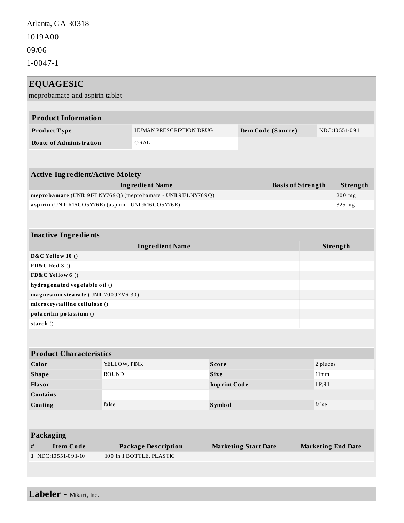Atlanta, GA 30318

1019A00

09/06

1-0047-1

| <b>EQUAGESIC</b><br>meprobamate and aspirin tablet             |                                               |             |                             |  |               |                           |  |
|----------------------------------------------------------------|-----------------------------------------------|-------------|-----------------------------|--|---------------|---------------------------|--|
| <b>Product Information</b>                                     |                                               |             |                             |  |               |                           |  |
| Product Type                                                   | HUMAN PRESCRIPTION DRUG<br>Item Code (Source) |             |                             |  | NDC:10551-091 |                           |  |
| <b>Route of Administration</b>                                 | ORAL                                          |             |                             |  |               |                           |  |
|                                                                |                                               |             |                             |  |               |                           |  |
| <b>Active Ingredient/Active Moiety</b>                         |                                               |             |                             |  |               |                           |  |
| <b>Ingredient Name</b><br><b>Basis of Strength</b>             |                                               |             |                             |  |               | Strength                  |  |
| meprobamate (UNII: 9I7LNY769Q) (meprobamate - UNII:9I7LNY769Q) |                                               |             |                             |  |               | 200 mg                    |  |
| aspirin (UNII: R16CO5Y76E) (aspirin - UNII:R16CO5Y76E)         |                                               |             |                             |  |               | 325 mg                    |  |
|                                                                |                                               |             |                             |  |               |                           |  |
| <b>Inactive Ingredients</b>                                    |                                               |             |                             |  |               |                           |  |
| <b>Ingredient Name</b>                                         |                                               |             |                             |  | Strength      |                           |  |
| D&C Yellow 10 ()                                               |                                               |             |                             |  |               |                           |  |
| <b>FD&amp;C</b> Red 3 ()                                       |                                               |             |                             |  |               |                           |  |
| FD&C Yellow 6 ()                                               |                                               |             |                             |  |               |                           |  |
| hydrogenated vegetable oil ()                                  |                                               |             |                             |  |               |                           |  |
| magnesium stearate (UNII: 70097M6I30)                          |                                               |             |                             |  |               |                           |  |
| microcrystalline cellulose ()                                  |                                               |             |                             |  |               |                           |  |
| polacrilin potassium ()                                        |                                               |             |                             |  |               |                           |  |
| starch $()$                                                    |                                               |             |                             |  |               |                           |  |
|                                                                |                                               |             |                             |  |               |                           |  |
| <b>Product Characteristics</b>                                 |                                               |             |                             |  |               |                           |  |
| Color                                                          | YELLOW, PINK<br><b>Score</b>                  |             |                             |  | 2 pieces      |                           |  |
| <b>Shape</b>                                                   | <b>ROUND</b>                                  | <b>Size</b> |                             |  | 11mm          |                           |  |
| <b>Flavor</b>                                                  |                                               |             | <b>Imprint Code</b>         |  | LP;91         |                           |  |
| <b>Contains</b>                                                |                                               |             |                             |  |               |                           |  |
| Coating                                                        | false                                         |             | <b>Symbol</b>               |  |               | false                     |  |
|                                                                |                                               |             |                             |  |               |                           |  |
| <b>Packaging</b>                                               |                                               |             |                             |  |               |                           |  |
| <b>Item Code</b><br>#                                          | <b>Package Description</b>                    |             | <b>Marketing Start Date</b> |  |               | <b>Marketing End Date</b> |  |
| 1 NDC:10551-091-10                                             | 100 in 1 BOTTLE, PLASTIC                      |             |                             |  |               |                           |  |